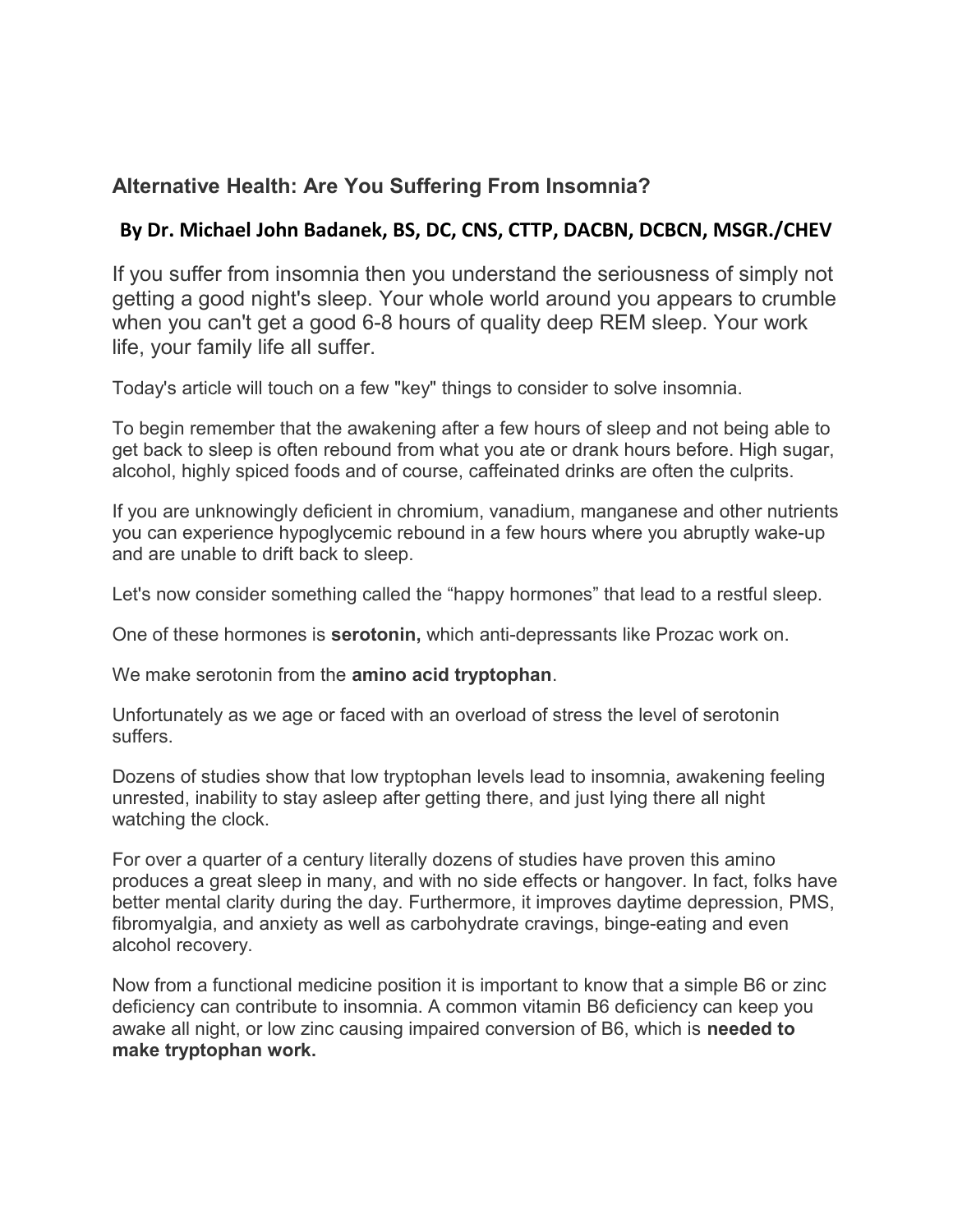## **Alternative Health: Are You Suffering From Insomnia?**

## **By Dr. Michael John Badanek, BS, DC, CNS, CTTP, DACBN, DCBCN, MSGR./CHEV**

If you suffer from insomnia then you understand the seriousness of simply not getting a good night's sleep. Your whole world around you appears to crumble when you can't get a good 6-8 hours of quality deep REM sleep. Your work life, your family life all suffer.

Today's article will touch on a few "key" things to consider to solve insomnia.

To begin remember that the awakening after a few hours of sleep and not being able to get back to sleep is often rebound from what you ate or drank hours before. High sugar, alcohol, highly spiced foods and of course, caffeinated drinks are often the culprits.

If you are unknowingly deficient in chromium, vanadium, manganese and other nutrients you can experience hypoglycemic rebound in a few hours where you abruptly wake-up and are unable to drift back to sleep.

Let's now consider something called the "happy hormones" that lead to a restful sleep.

One of these hormones is **serotonin,** which anti-depressants like Prozac work on.

We make serotonin from the **amino acid tryptophan**.

Unfortunately as we age or faced with an overload of stress the level of serotonin suffers.

Dozens of studies show that low tryptophan levels lead to insomnia, awakening feeling unrested, inability to stay asleep after getting there, and just lying there all night watching the clock.

For over a quarter of a century literally dozens of studies have proven this amino produces a great sleep in many, and with no side effects or hangover. In fact, folks have better mental clarity during the day. Furthermore, it improves daytime depression, PMS, fibromyalgia, and anxiety as well as carbohydrate cravings, binge-eating and even alcohol recovery.

Now from a functional medicine position it is important to know that a simple B6 or zinc deficiency can contribute to insomnia. A common vitamin B6 deficiency can keep you awake all night, or low zinc causing impaired conversion of B6, which is **needed to make tryptophan work.**